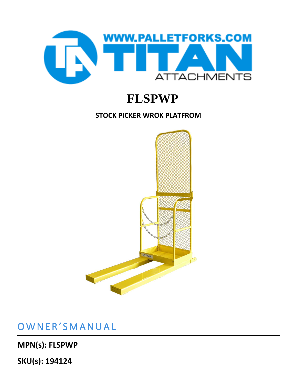

## **FLSPWP**

#### **STOCK PICKER WROK PLATFROM**



OWNER'SMANUAL

**MPN(s): FLSPWP**

**SKU(s): 194124**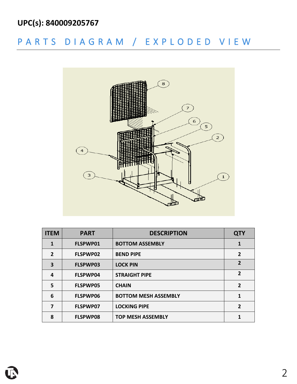### **UPC(s): 840009205767**

## P A R T S D I A G R A M / E X P L O D E D V I E W



| <b>ITEM</b>    | <b>PART</b>     | <b>DESCRIPTION</b>          | <b>QTY</b>     |
|----------------|-----------------|-----------------------------|----------------|
| 1              | FLSPWP01        | <b>BOTTOM ASSEMBLY</b>      | 1              |
| $\overline{2}$ | FLSPWP02        | <b>BEND PIPE</b>            | $\overline{2}$ |
| 3              | <b>FLSPWP03</b> | <b>LOCK PIN</b>             | $\overline{2}$ |
| 4              | <b>FLSPWP04</b> | <b>STRAIGHT PIPE</b>        | $\overline{2}$ |
| 5              | <b>FLSPWP05</b> | <b>CHAIN</b>                | $\overline{2}$ |
| 6              | <b>FLSPWP06</b> | <b>BOTTOM MESH ASSEMBLY</b> | 1              |
| 7              | <b>FLSPWP07</b> | <b>LOCKING PIPE</b>         | $\overline{2}$ |
| 8              | <b>FLSPWP08</b> | <b>TOP MESH ASSEMBLY</b>    |                |